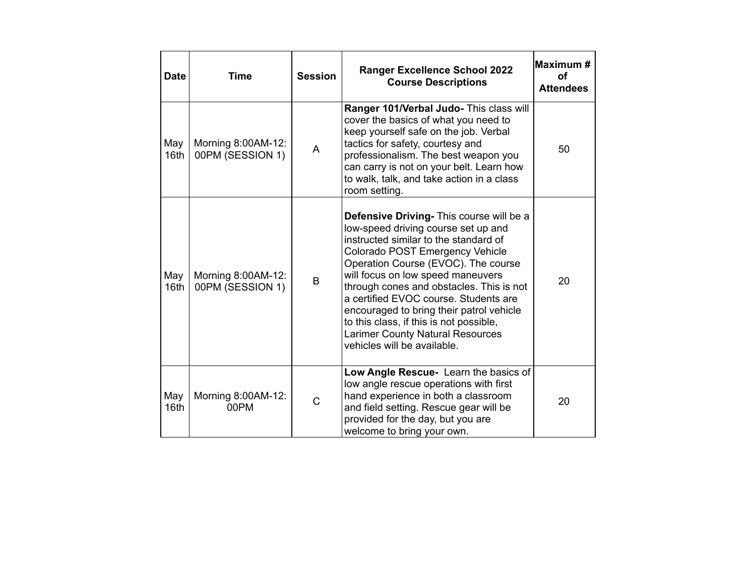| Date        | Time                                   | <b>Session</b> | <b>Ranger Excellence School 2022</b><br><b>Course Descriptions</b>                                                                                                                                                                                                                                                                                                                                                                                                                            | Maximum#<br>οf<br><b>Attendees</b> |
|-------------|----------------------------------------|----------------|-----------------------------------------------------------------------------------------------------------------------------------------------------------------------------------------------------------------------------------------------------------------------------------------------------------------------------------------------------------------------------------------------------------------------------------------------------------------------------------------------|------------------------------------|
| May<br>16th | Morning 8:00AM-12:<br>00PM (SESSION 1) | A              | Ranger 101/Verbal Judo- This class will<br>cover the basics of what you need to<br>keep yourself safe on the job. Verbal<br>tactics for safety, courtesy and<br>professionalism. The best weapon you<br>can carry is not on your belt. Learn how<br>to walk, talk, and take action in a class<br>room setting.                                                                                                                                                                                | 50                                 |
| May<br>16th | Morning 8:00AM-12:<br>00PM (SESSION 1) | B              | Defensive Driving- This course will be a<br>low-speed driving course set up and<br>instructed similar to the standard of<br>Colorado POST Emergency Vehicle<br>Operation Course (EVOC). The course<br>will focus on low speed maneuvers<br>through cones and obstacles. This is not<br>a certified EVOC course. Students are<br>encouraged to bring their patrol vehicle<br>to this class, if this is not possible,<br><b>Larimer County Natural Resources</b><br>vehicles will be available. | 20                                 |
| May<br>16th | Morning 8:00AM-12:<br>00PM             | $\overline{C}$ | Low Angle Rescue- Learn the basics of<br>low angle rescue operations with first<br>hand experience in both a classroom<br>and field setting. Rescue gear will be<br>provided for the day, but you are<br>welcome to bring your own.                                                                                                                                                                                                                                                           | 20                                 |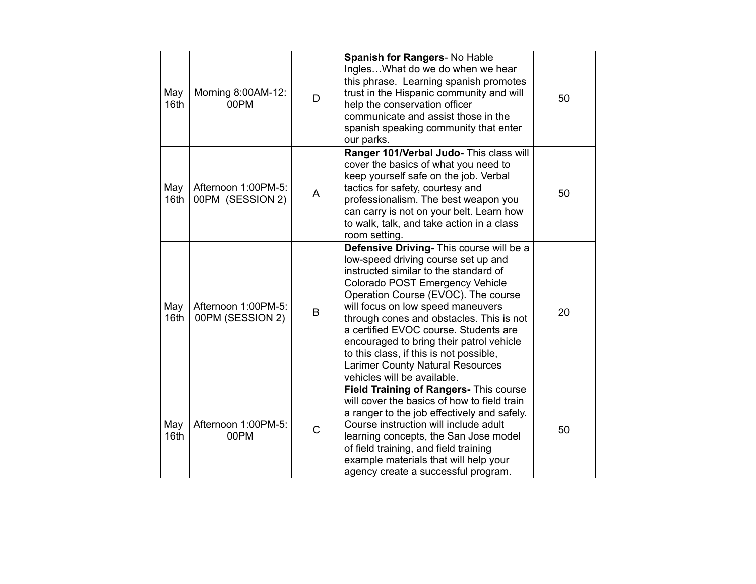| May<br>16th | Morning 8:00AM-12:<br>00PM              | D              | Spanish for Rangers- No Hable<br>InglesWhat do we do when we hear<br>this phrase. Learning spanish promotes<br>trust in the Hispanic community and will<br>help the conservation officer<br>communicate and assist those in the<br>spanish speaking community that enter<br>our parks.                                                                                                                                                                                                        | 50 |
|-------------|-----------------------------------------|----------------|-----------------------------------------------------------------------------------------------------------------------------------------------------------------------------------------------------------------------------------------------------------------------------------------------------------------------------------------------------------------------------------------------------------------------------------------------------------------------------------------------|----|
| May<br>16th | Afternoon 1:00PM-5:<br>00PM (SESSION 2) | A              | Ranger 101/Verbal Judo- This class will<br>cover the basics of what you need to<br>keep yourself safe on the job. Verbal<br>tactics for safety, courtesy and<br>professionalism. The best weapon you<br>can carry is not on your belt. Learn how<br>to walk, talk, and take action in a class<br>room setting.                                                                                                                                                                                | 50 |
| May<br>16th | Afternoon 1:00PM-5:<br>00PM (SESSION 2) | B              | Defensive Driving- This course will be a<br>low-speed driving course set up and<br>instructed similar to the standard of<br>Colorado POST Emergency Vehicle<br>Operation Course (EVOC). The course<br>will focus on low speed maneuvers<br>through cones and obstacles. This is not<br>a certified EVOC course. Students are<br>encouraged to bring their patrol vehicle<br>to this class, if this is not possible,<br><b>Larimer County Natural Resources</b><br>vehicles will be available. | 20 |
| May<br>16th | Afternoon 1:00PM-5:<br>00PM             | $\overline{C}$ | Field Training of Rangers- This course<br>will cover the basics of how to field train<br>a ranger to the job effectively and safely.<br>Course instruction will include adult<br>learning concepts, the San Jose model<br>of field training, and field training<br>example materials that will help your<br>agency create a successful program.                                                                                                                                               | 50 |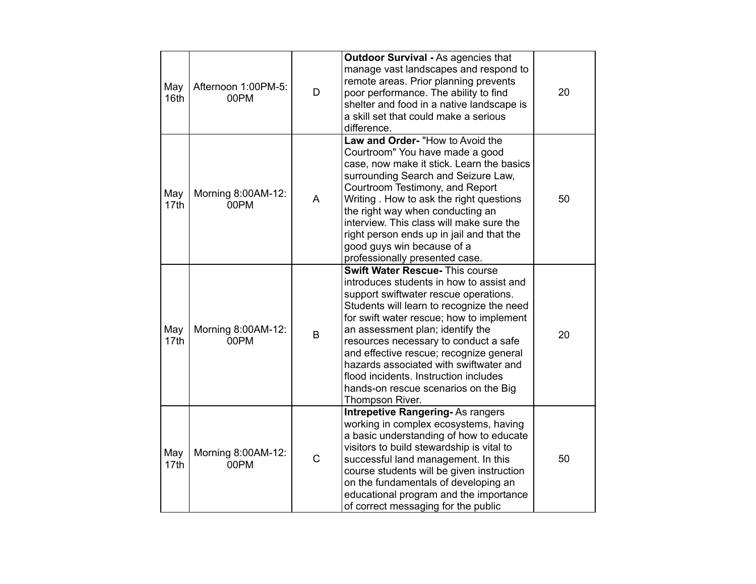| May<br>16th | Afternoon 1:00PM-5:<br>00PM | D            | <b>Outdoor Survival - As agencies that</b><br>manage vast landscapes and respond to<br>remote areas. Prior planning prevents<br>poor performance. The ability to find<br>shelter and food in a native landscape is<br>a skill set that could make a serious<br>difference.                                                                                                                                                                                                                 | 20 |
|-------------|-----------------------------|--------------|--------------------------------------------------------------------------------------------------------------------------------------------------------------------------------------------------------------------------------------------------------------------------------------------------------------------------------------------------------------------------------------------------------------------------------------------------------------------------------------------|----|
| May<br>17th | Morning 8:00AM-12:<br>00PM  | A            | Law and Order- "How to Avoid the<br>Courtroom" You have made a good<br>case, now make it stick. Learn the basics<br>surrounding Search and Seizure Law,<br>Courtroom Testimony, and Report<br>Writing . How to ask the right questions<br>the right way when conducting an<br>interview. This class will make sure the<br>right person ends up in jail and that the<br>good guys win because of a<br>professionally presented case.                                                        | 50 |
| May<br>17th | Morning 8:00AM-12:<br>00PM  | B            | <b>Swift Water Rescue- This course</b><br>introduces students in how to assist and<br>support swiftwater rescue operations.<br>Students will learn to recognize the need<br>for swift water rescue; how to implement<br>an assessment plan; identify the<br>resources necessary to conduct a safe<br>and effective rescue; recognize general<br>hazards associated with swiftwater and<br>flood incidents. Instruction includes<br>hands-on rescue scenarios on the Big<br>Thompson River. | 20 |
| May<br>17th | Morning 8:00AM-12:<br>00PM  | $\mathsf{C}$ | <b>Intrepetive Rangering-As rangers</b><br>working in complex ecosystems, having<br>a basic understanding of how to educate<br>visitors to build stewardship is vital to<br>successful land management. In this<br>course students will be given instruction<br>on the fundamentals of developing an<br>educational program and the importance<br>of correct messaging for the public                                                                                                      | 50 |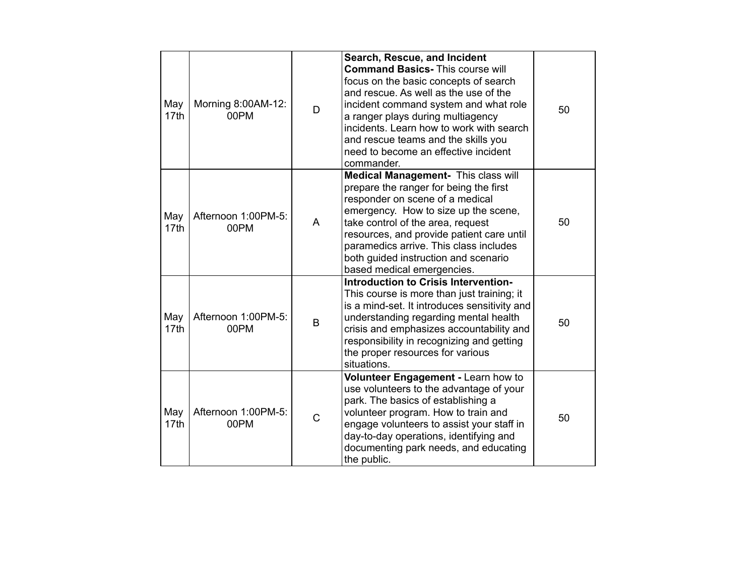| May<br>17th | Morning 8:00AM-12:<br>00PM  | D | Search, Rescue, and Incident<br><b>Command Basics- This course will</b><br>focus on the basic concepts of search<br>and rescue. As well as the use of the<br>incident command system and what role<br>a ranger plays during multiagency<br>incidents. Learn how to work with search<br>and rescue teams and the skills you<br>need to become an effective incident<br>commander. | 50 |
|-------------|-----------------------------|---|----------------------------------------------------------------------------------------------------------------------------------------------------------------------------------------------------------------------------------------------------------------------------------------------------------------------------------------------------------------------------------|----|
| May<br>17th | Afternoon 1:00PM-5:<br>00PM | A | Medical Management- This class will<br>prepare the ranger for being the first<br>responder on scene of a medical<br>emergency. How to size up the scene,<br>take control of the area, request<br>resources, and provide patient care until<br>paramedics arrive. This class includes<br>both guided instruction and scenario<br>based medical emergencies.                       | 50 |
| May<br>17th | Afternoon 1:00PM-5:<br>00PM | B | Introduction to Crisis Intervention-<br>This course is more than just training; it<br>is a mind-set. It introduces sensitivity and<br>understanding regarding mental health<br>crisis and emphasizes accountability and<br>responsibility in recognizing and getting<br>the proper resources for various<br>situations.                                                          | 50 |
| May<br>17th | Afternoon 1:00PM-5:<br>00PM | C | Volunteer Engagement - Learn how to<br>use volunteers to the advantage of your<br>park. The basics of establishing a<br>volunteer program. How to train and<br>engage volunteers to assist your staff in<br>day-to-day operations, identifying and<br>documenting park needs, and educating<br>the public.                                                                       | 50 |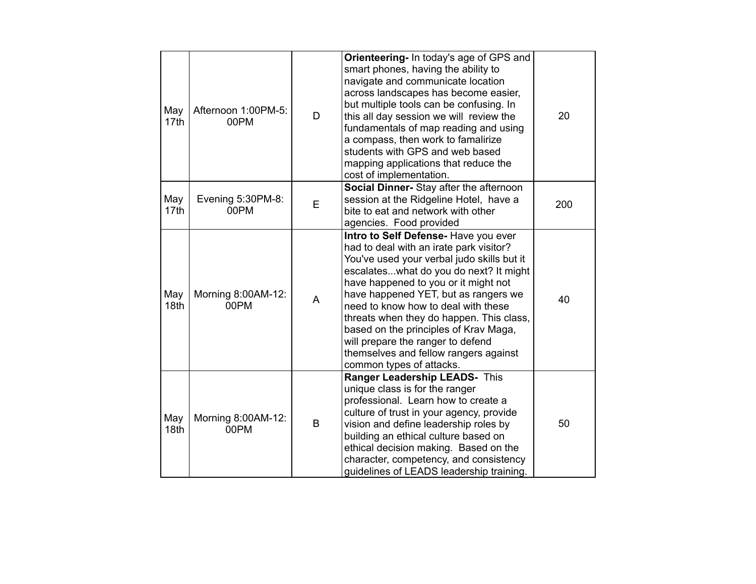| May<br>17th | Afternoon 1:00PM-5:<br>00PM | D | Orienteering- In today's age of GPS and<br>smart phones, having the ability to<br>navigate and communicate location<br>across landscapes has become easier,<br>but multiple tools can be confusing. In<br>this all day session we will review the<br>fundamentals of map reading and using<br>a compass, then work to famalirize<br>students with GPS and web based<br>mapping applications that reduce the<br>cost of implementation.                                                        | 20  |
|-------------|-----------------------------|---|-----------------------------------------------------------------------------------------------------------------------------------------------------------------------------------------------------------------------------------------------------------------------------------------------------------------------------------------------------------------------------------------------------------------------------------------------------------------------------------------------|-----|
| May<br>17th | Evening 5:30PM-8:<br>00PM   | E | Social Dinner- Stay after the afternoon<br>session at the Ridgeline Hotel, have a<br>bite to eat and network with other<br>agencies. Food provided                                                                                                                                                                                                                                                                                                                                            | 200 |
| May<br>18th | Morning 8:00AM-12:<br>00PM  | A | Intro to Self Defense- Have you ever<br>had to deal with an irate park visitor?<br>You've used your verbal judo skills but it<br>escalateswhat do you do next? It might<br>have happened to you or it might not<br>have happened YET, but as rangers we<br>need to know how to deal with these<br>threats when they do happen. This class,<br>based on the principles of Krav Maga,<br>will prepare the ranger to defend<br>themselves and fellow rangers against<br>common types of attacks. | 40  |
| May<br>18th | Morning 8:00AM-12:<br>00PM  | B | Ranger Leadership LEADS- This<br>unique class is for the ranger<br>professional. Learn how to create a<br>culture of trust in your agency, provide<br>vision and define leadership roles by<br>building an ethical culture based on<br>ethical decision making. Based on the<br>character, competency, and consistency<br>guidelines of LEADS leadership training.                                                                                                                            | 50  |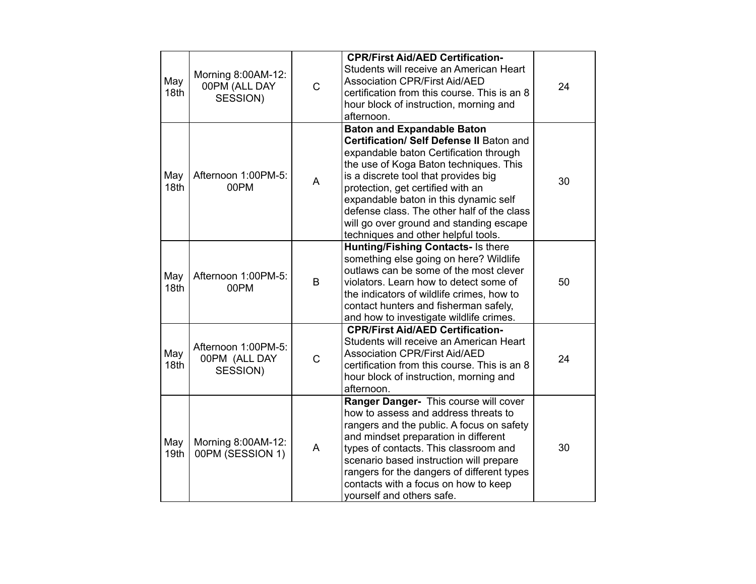| May<br>18 <sub>th</sub> | Morning 8:00AM-12:<br>00PM (ALL DAY<br>SESSION)  | $\mathsf{C}$ | <b>CPR/First Aid/AED Certification-</b><br>Students will receive an American Heart<br><b>Association CPR/First Aid/AED</b><br>certification from this course. This is an 8<br>hour block of instruction, morning and<br>afternoon.                                                                                                                                                                                      | 24 |
|-------------------------|--------------------------------------------------|--------------|-------------------------------------------------------------------------------------------------------------------------------------------------------------------------------------------------------------------------------------------------------------------------------------------------------------------------------------------------------------------------------------------------------------------------|----|
| May<br>18th             | Afternoon 1:00PM-5:<br>00PM                      | A            | <b>Baton and Expandable Baton</b><br>Certification/ Self Defense II Baton and<br>expandable baton Certification through<br>the use of Koga Baton techniques. This<br>is a discrete tool that provides big<br>protection, get certified with an<br>expandable baton in this dynamic self<br>defense class. The other half of the class<br>will go over ground and standing escape<br>techniques and other helpful tools. | 30 |
| May<br>18 <sub>th</sub> | Afternoon 1:00PM-5:<br>00PM                      | B            | <b>Hunting/Fishing Contacts- Is there</b><br>something else going on here? Wildlife<br>outlaws can be some of the most clever<br>violators. Learn how to detect some of<br>the indicators of wildlife crimes, how to<br>contact hunters and fisherman safely,<br>and how to investigate wildlife crimes.                                                                                                                | 50 |
| May<br>18th             | Afternoon 1:00PM-5:<br>00PM (ALL DAY<br>SESSION) | $\mathsf{C}$ | <b>CPR/First Aid/AED Certification-</b><br>Students will receive an American Heart<br><b>Association CPR/First Aid/AED</b><br>certification from this course. This is an 8<br>hour block of instruction, morning and<br>afternoon.                                                                                                                                                                                      | 24 |
| May<br>19th             | Morning 8:00AM-12:<br>00PM (SESSION 1)           | A            | Ranger Danger- This course will cover<br>how to assess and address threats to<br>rangers and the public. A focus on safety<br>and mindset preparation in different<br>types of contacts. This classroom and<br>scenario based instruction will prepare<br>rangers for the dangers of different types<br>contacts with a focus on how to keep<br>yourself and others safe.                                               | 30 |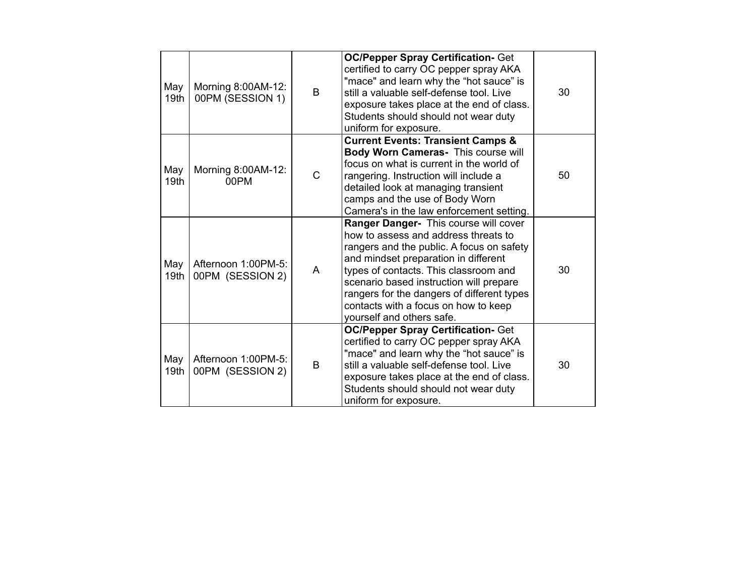| May<br>19 <sub>th</sub> | Morning 8:00AM-12:<br>00PM (SESSION 1)  | B | <b>OC/Pepper Spray Certification- Get</b><br>certified to carry OC pepper spray AKA<br>"mace" and learn why the "hot sauce" is<br>still a valuable self-defense tool. Live<br>exposure takes place at the end of class.<br>Students should should not wear duty<br>uniform for exposure.                                                                                  | 30 |
|-------------------------|-----------------------------------------|---|---------------------------------------------------------------------------------------------------------------------------------------------------------------------------------------------------------------------------------------------------------------------------------------------------------------------------------------------------------------------------|----|
| May<br>19 <sub>th</sub> | Morning 8:00AM-12:<br>00PM              | C | <b>Current Events: Transient Camps &amp;</b><br>Body Worn Cameras- This course will<br>focus on what is current in the world of<br>rangering. Instruction will include a<br>detailed look at managing transient<br>camps and the use of Body Worn<br>Camera's in the law enforcement setting.                                                                             | 50 |
| May<br>19 <sub>th</sub> | Afternoon 1:00PM-5:<br>00PM (SESSION 2) | A | Ranger Danger- This course will cover<br>how to assess and address threats to<br>rangers and the public. A focus on safety<br>and mindset preparation in different<br>types of contacts. This classroom and<br>scenario based instruction will prepare<br>rangers for the dangers of different types<br>contacts with a focus on how to keep<br>yourself and others safe. | 30 |
| May<br>19 <sub>th</sub> | Afternoon 1:00PM-5:<br>00PM (SESSION 2) | B | <b>OC/Pepper Spray Certification- Get</b><br>certified to carry OC pepper spray AKA<br>"mace" and learn why the "hot sauce" is<br>still a valuable self-defense tool. Live<br>exposure takes place at the end of class.<br>Students should should not wear duty<br>uniform for exposure.                                                                                  | 30 |